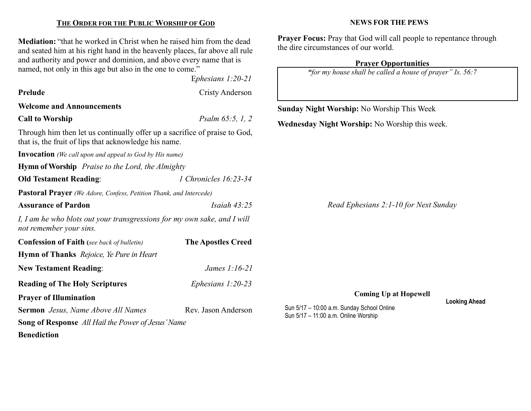#### THE ORDER FOR THE PUBLIC WORSHIP OF GOD

Mediation: "that he worked in Christ when he raised him from the dead and seated him at his right hand in the heavenly places, far above all rule and authority and power and dominion, and above every name that is named, not only in this age but also in the one to come."

Ephesians 1:20-21

| Prelude                                                                                                                             | <b>Cristy Anderson</b>    |                                                   |     |
|-------------------------------------------------------------------------------------------------------------------------------------|---------------------------|---------------------------------------------------|-----|
| <b>Welcome and Announcements</b>                                                                                                    |                           | <b>Sunday Night Worship: No Worship This Week</b> |     |
| <b>Call to Worship</b>                                                                                                              | Psalm 65:5, 1, 2          | Wednesday Night Worship: No Worship this week.    |     |
| Through him then let us continually offer up a sacrifice of praise to God,<br>that is, the fruit of lips that acknowledge his name. |                           |                                                   |     |
| <b>Invocation</b> (We call upon and appeal to God by His name)                                                                      |                           |                                                   |     |
| <b>Hymn of Worship</b> Praise to the Lord, the Almighty                                                                             |                           |                                                   |     |
| <b>Old Testament Reading:</b>                                                                                                       | 1 Chronicles 16:23-34     |                                                   |     |
| Pastoral Prayer (We Adore, Confess, Petition Thank, and Intercede)                                                                  |                           |                                                   |     |
| <b>Assurance of Pardon</b>                                                                                                          | Isaiah $43:25$            | Read Ephesians 2:1-10 for Next Sunday             |     |
| I, I am he who blots out your transgressions for my own sake, and I will<br>not remember your sins.                                 |                           |                                                   |     |
| <b>Confession of Faith</b> (see back of bulletin)                                                                                   | <b>The Apostles Creed</b> |                                                   |     |
| Hymn of Thanks Rejoice, Ye Pure in Heart                                                                                            |                           |                                                   |     |
| <b>New Testament Reading:</b>                                                                                                       | James 1:16-21             |                                                   |     |
| <b>Reading of The Holy Scriptures</b>                                                                                               | Ephesians $1:20-23$       |                                                   |     |
| <b>Prayer of Illumination</b>                                                                                                       |                           | <b>Coming Up at Hopewell</b>                      | Loc |
| <b>Sermon</b> Jesus, Name Above All Names                                                                                           | Rev. Jason Anderson       | Sun 5/17 - 10:00 a.m. Sunday School Online        |     |
| Song of Response All Hail the Power of Jesus' Name                                                                                  |                           | Sun 5/17 - 11:00 a.m. Online Worship              |     |
| <b>Benediction</b>                                                                                                                  |                           |                                                   |     |

#### NEWS FOR THE PEWS

Prayer Focus: Pray that God will call people to repentance through the dire circumstances of our world.

## Prayer Opportunities

"for my house shall be called a house of prayer" Is. 56:7

oking Ahead